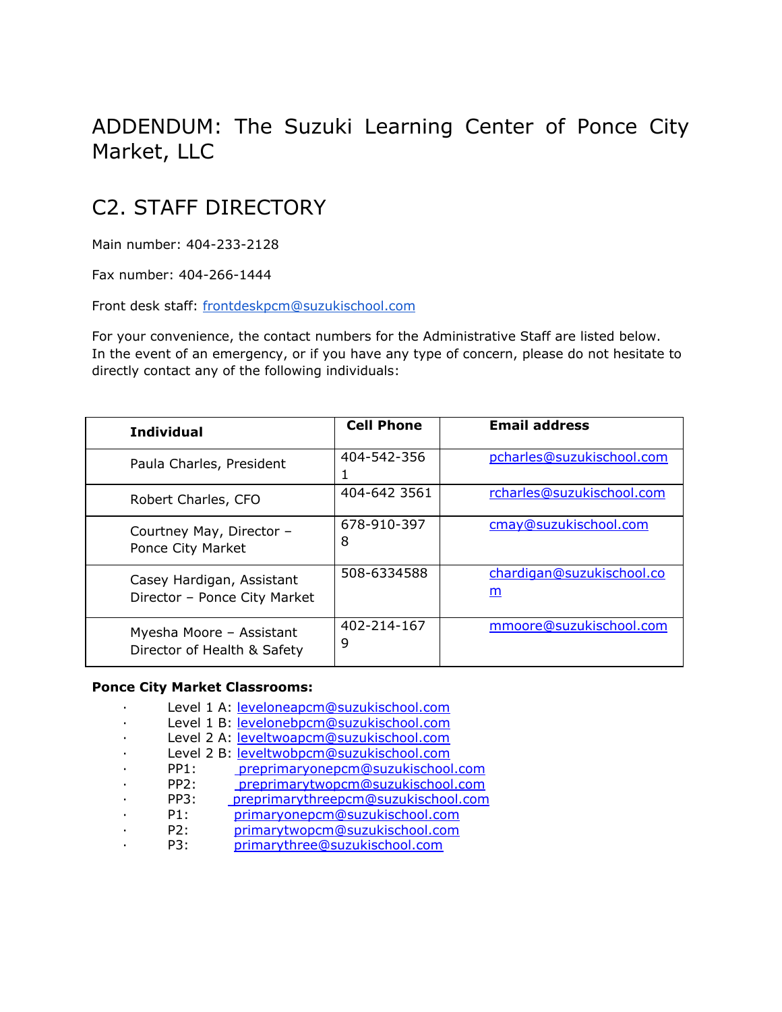# ADDENDUM: The Suzuki Learning Center of Ponce City Market, LLC

# C2. STAFF DIRECTORY

Main number: 404-233-2128

Fax number: 404-266-1444

Front desk staff: [frontdeskpcm@suzukischool.com](mailto:frontdeskpcm@suzukischool.com)

For your convenience, the contact numbers for the Administrative Staff are listed below. In the event of an emergency, or if you have any type of concern, please do not hesitate to directly contact any of the following individuals:

| <b>Individual</b>                                         | <b>Cell Phone</b> | <b>Email address</b>           |
|-----------------------------------------------------------|-------------------|--------------------------------|
| Paula Charles, President                                  | 404-542-356<br>ı  | pcharles@suzukischool.com      |
| Robert Charles, CFO                                       | 404-642 3561      | rcharles@suzukischool.com      |
| Courtney May, Director -<br>Ponce City Market             | 678-910-397<br>8  | cmay@suzukischool.com          |
| Casey Hardigan, Assistant<br>Director - Ponce City Market | 508-6334588       | chardigan@suzukischool.co<br>m |
| Myesha Moore - Assistant<br>Director of Health & Safety   | 402-214-167<br>9  | mmoore@suzukischool.com        |

#### **Ponce City Market Classrooms:**

| Level 1 A: leveloneapcm@suzukischool.com               |  |
|--------------------------------------------------------|--|
| Level 1 B: levelonebpcm@suzukischool.com               |  |
| Level 2 A: leveltwoapcm@suzukischool.com               |  |
| Level 2 B: leveltwobpcm@suzukischool.com               |  |
| preprimaryonepcm@suzukischool.com<br>PP1:              |  |
| PP <sub>2</sub> :<br>preprimarytwopcm@suzukischool.com |  |
| PP3:<br>preprimarythreepcm@suzukischool.com            |  |
| P1:<br>primaryonepcm@suzukischool.com                  |  |
| primarytwopcm@suzukischool.com<br>P2:                  |  |
| primarythree@suzukischool.com<br>P3:                   |  |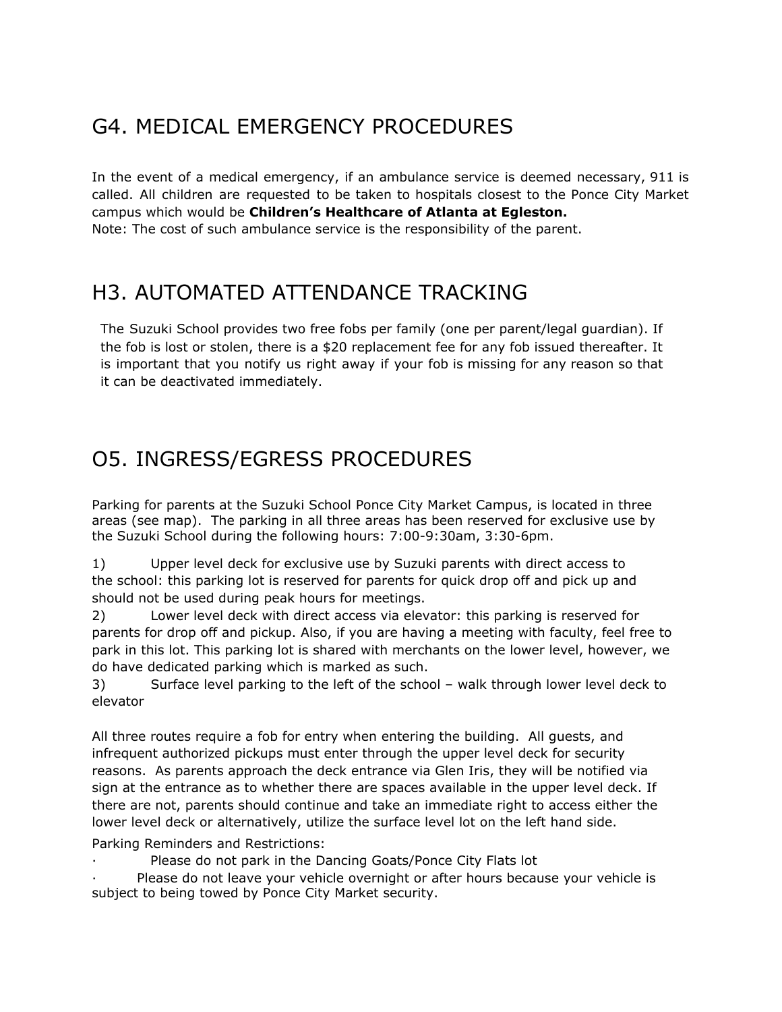# G4. MEDICAL EMERGENCY PROCEDURES

In the event of a medical emergency, if an ambulance service is deemed necessary, 911 is called. All children are requested to be taken to hospitals closest to the Ponce City Market campus which would be **Children's Healthcare of Atlanta at Egleston.** Note: The cost of such ambulance service is the responsibility of the parent.

### H3. AUTOMATED ATTENDANCE TRACKING

The Suzuki School provides two free fobs per family (one per parent/legal guardian). If the fob is lost or stolen, there is a \$20 replacement fee for any fob issued thereafter. It is important that you notify us right away if your fob is missing for any reason so that it can be deactivated immediately.

# O5. INGRESS/EGRESS PROCEDURES

Parking for parents at the Suzuki School Ponce City Market Campus, is located in three areas (see map). The parking in all three areas has been reserved for exclusive use by the Suzuki School during the following hours: 7:00-9:30am, 3:30-6pm.

1) Upper level deck for exclusive use by Suzuki parents with direct access to the school: this parking lot is reserved for parents for quick drop off and pick up and should not be used during peak hours for meetings.

2) Lower level deck with direct access via elevator: this parking is reserved for parents for drop off and pickup. Also, if you are having a meeting with faculty, feel free to park in this lot. This parking lot is shared with merchants on the lower level, however, we do have dedicated parking which is marked as such.

3) Surface level parking to the left of the school – walk through lower level deck to elevator

All three routes require a fob for entry when entering the building. All guests, and infrequent authorized pickups must enter through the upper level deck for security reasons. As parents approach the deck entrance via Glen Iris, they will be notified via sign at the entrance as to whether there are spaces available in the upper level deck. If there are not, parents should continue and take an immediate right to access either the lower level deck or alternatively, utilize the surface level lot on the left hand side.

Parking Reminders and Restrictions:

Please do not park in the Dancing Goats/Ponce City Flats lot

Please do not leave your vehicle overnight or after hours because your vehicle is subject to being towed by Ponce City Market security.